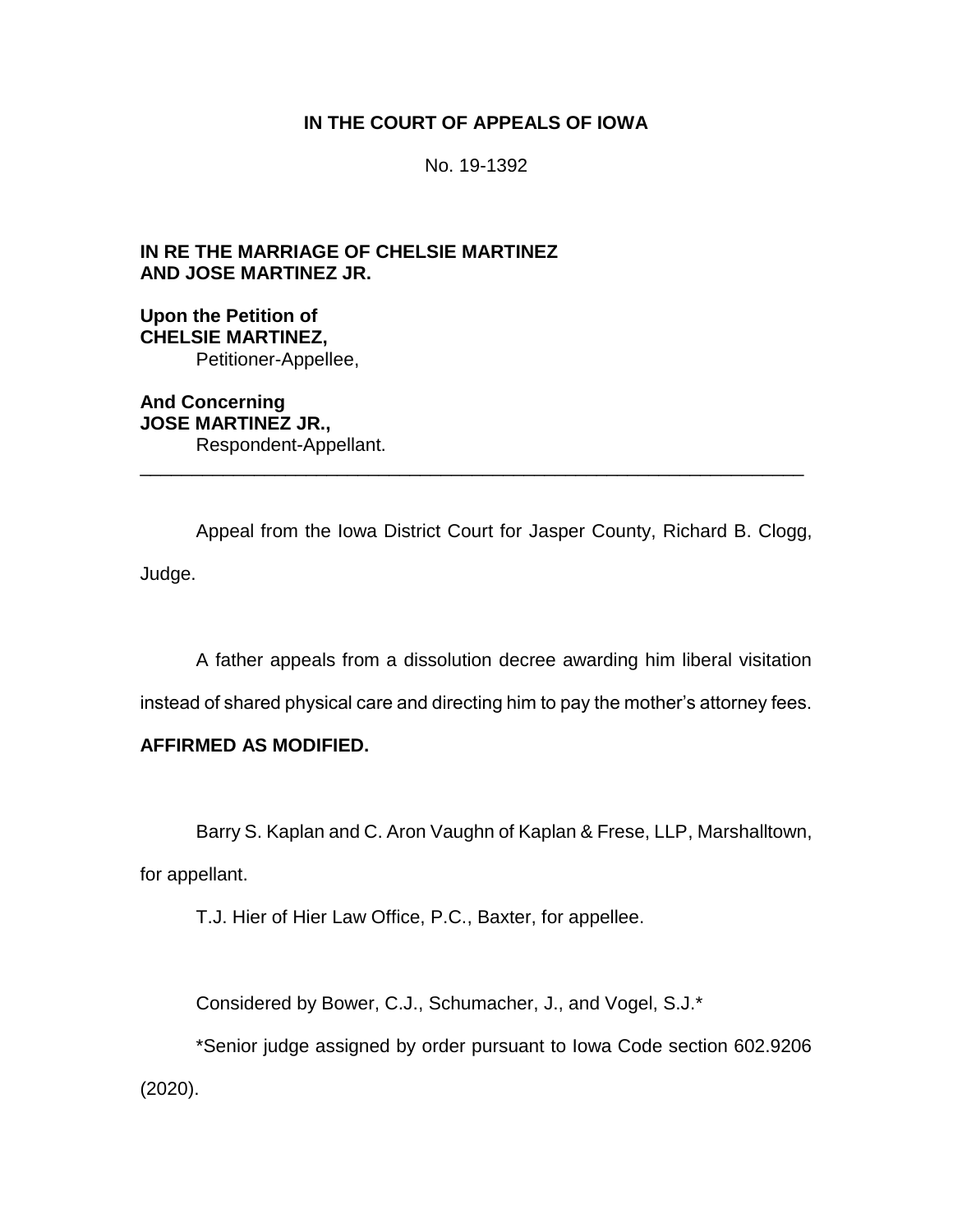## **IN THE COURT OF APPEALS OF IOWA**

No. 19-1392

**IN RE THE MARRIAGE OF CHELSIE MARTINEZ AND JOSE MARTINEZ JR.**

**Upon the Petition of CHELSIE MARTINEZ,** Petitioner-Appellee,

**And Concerning JOSE MARTINEZ JR.,** Respondent-Appellant. \_\_\_\_\_\_\_\_\_\_\_\_\_\_\_\_\_\_\_\_\_\_\_\_\_\_\_\_\_\_\_\_\_\_\_\_\_\_\_\_\_\_\_\_\_\_\_\_\_\_\_\_\_\_\_\_\_\_\_\_\_\_\_\_

Appeal from the Iowa District Court for Jasper County, Richard B. Clogg, Judge.

A father appeals from a dissolution decree awarding him liberal visitation

instead of shared physical care and directing him to pay the mother's attorney fees.

### **AFFIRMED AS MODIFIED.**

Barry S. Kaplan and C. Aron Vaughn of Kaplan & Frese, LLP, Marshalltown,

for appellant.

T.J. Hier of Hier Law Office, P.C., Baxter, for appellee.

Considered by Bower, C.J., Schumacher, J., and Vogel, S.J.\*

\*Senior judge assigned by order pursuant to Iowa Code section 602.9206 (2020).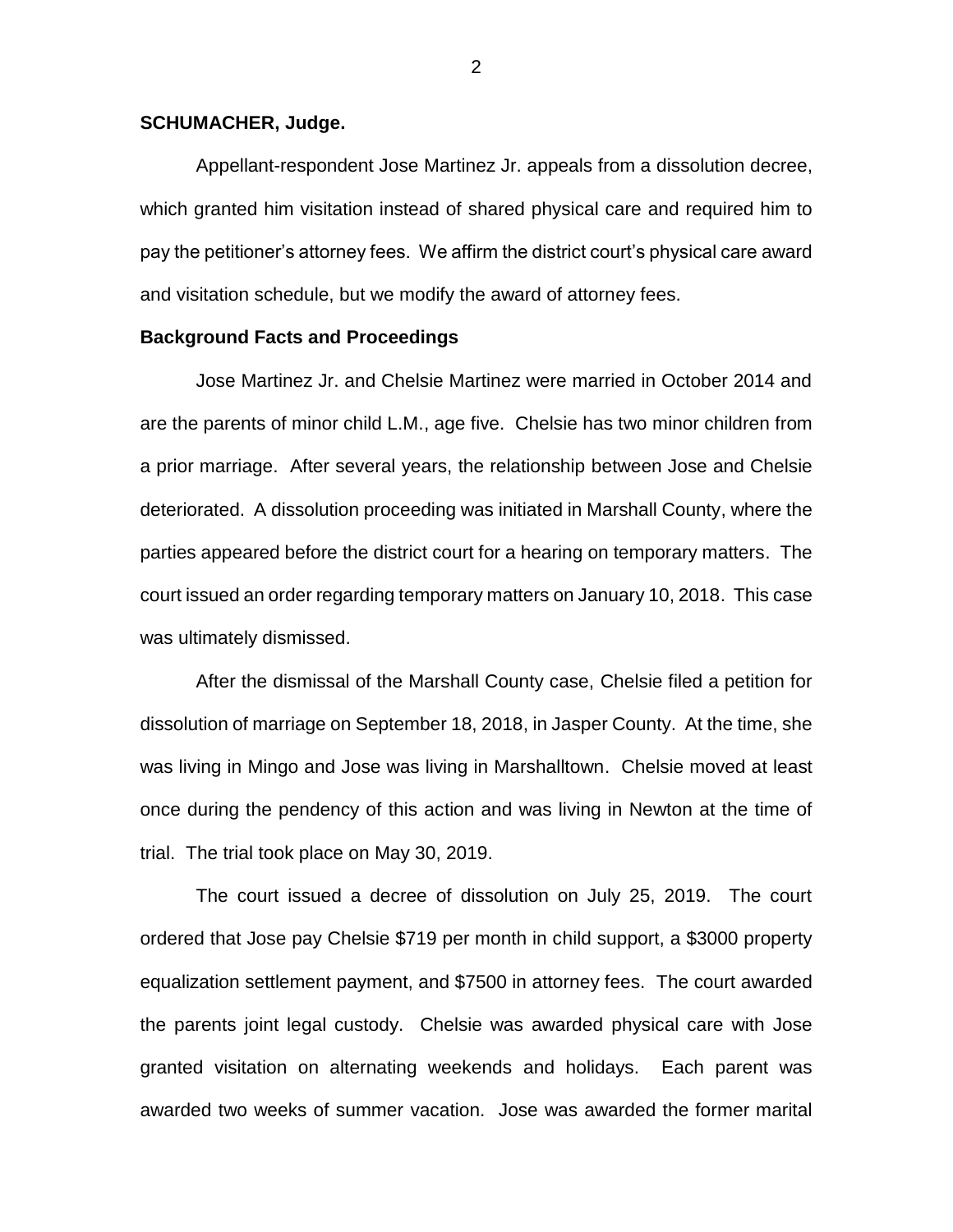#### **SCHUMACHER, Judge.**

Appellant-respondent Jose Martinez Jr. appeals from a dissolution decree, which granted him visitation instead of shared physical care and required him to pay the petitioner's attorney fees. We affirm the district court's physical care award and visitation schedule, but we modify the award of attorney fees.

#### **Background Facts and Proceedings**

Jose Martinez Jr. and Chelsie Martinez were married in October 2014 and are the parents of minor child L.M., age five. Chelsie has two minor children from a prior marriage. After several years, the relationship between Jose and Chelsie deteriorated. A dissolution proceeding was initiated in Marshall County, where the parties appeared before the district court for a hearing on temporary matters. The court issued an order regarding temporary matters on January 10, 2018. This case was ultimately dismissed.

After the dismissal of the Marshall County case, Chelsie filed a petition for dissolution of marriage on September 18, 2018, in Jasper County. At the time, she was living in Mingo and Jose was living in Marshalltown. Chelsie moved at least once during the pendency of this action and was living in Newton at the time of trial. The trial took place on May 30, 2019.

The court issued a decree of dissolution on July 25, 2019. The court ordered that Jose pay Chelsie \$719 per month in child support, a \$3000 property equalization settlement payment, and \$7500 in attorney fees. The court awarded the parents joint legal custody. Chelsie was awarded physical care with Jose granted visitation on alternating weekends and holidays. Each parent was awarded two weeks of summer vacation. Jose was awarded the former marital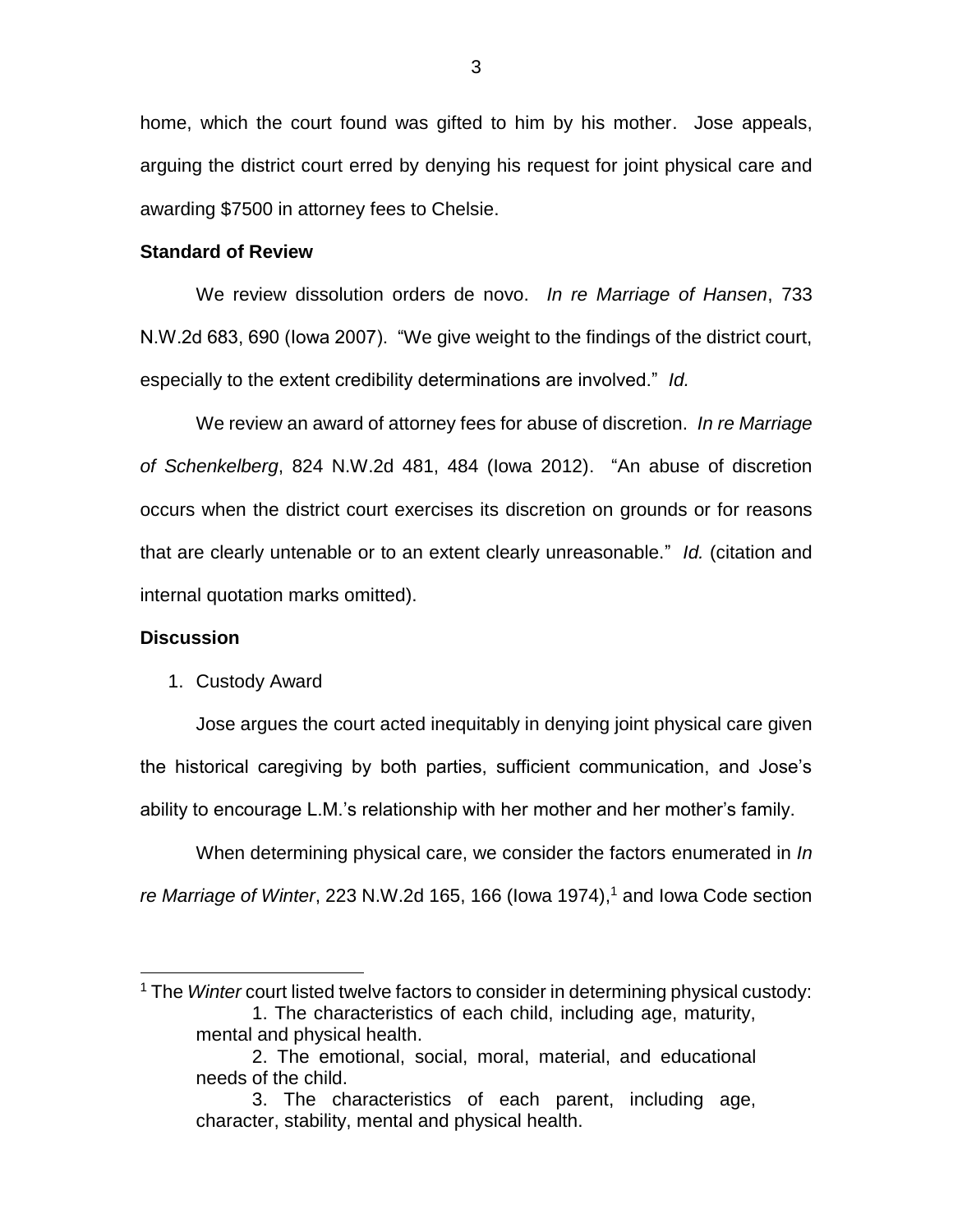home, which the court found was gifted to him by his mother. Jose appeals, arguing the district court erred by denying his request for joint physical care and awarding \$7500 in attorney fees to Chelsie.

#### **Standard of Review**

We review dissolution orders de novo. *In re Marriage of Hansen*, 733 N.W.2d 683, 690 (Iowa 2007). "We give weight to the findings of the district court, especially to the extent credibility determinations are involved." *Id.*

We review an award of attorney fees for abuse of discretion. *In re Marriage of Schenkelberg*, 824 N.W.2d 481, 484 (Iowa 2012). "An abuse of discretion occurs when the district court exercises its discretion on grounds or for reasons that are clearly untenable or to an extent clearly unreasonable." *Id.* (citation and internal quotation marks omitted).

#### **Discussion**

 $\overline{a}$ 

#### 1. Custody Award

Jose argues the court acted inequitably in denying joint physical care given the historical caregiving by both parties, sufficient communication, and Jose's ability to encourage L.M.'s relationship with her mother and her mother's family.

When determining physical care, we consider the factors enumerated in *In re Marriage of Winter*, 223 N.W.2d 165, 166 (Iowa 1974), <sup>1</sup> and Iowa Code section

2. The emotional, social, moral, material, and educational needs of the child.

<sup>1</sup> The *Winter* court listed twelve factors to consider in determining physical custody: 1. The characteristics of each child, including age, maturity, mental and physical health.

<sup>3.</sup> The characteristics of each parent, including age, character, stability, mental and physical health.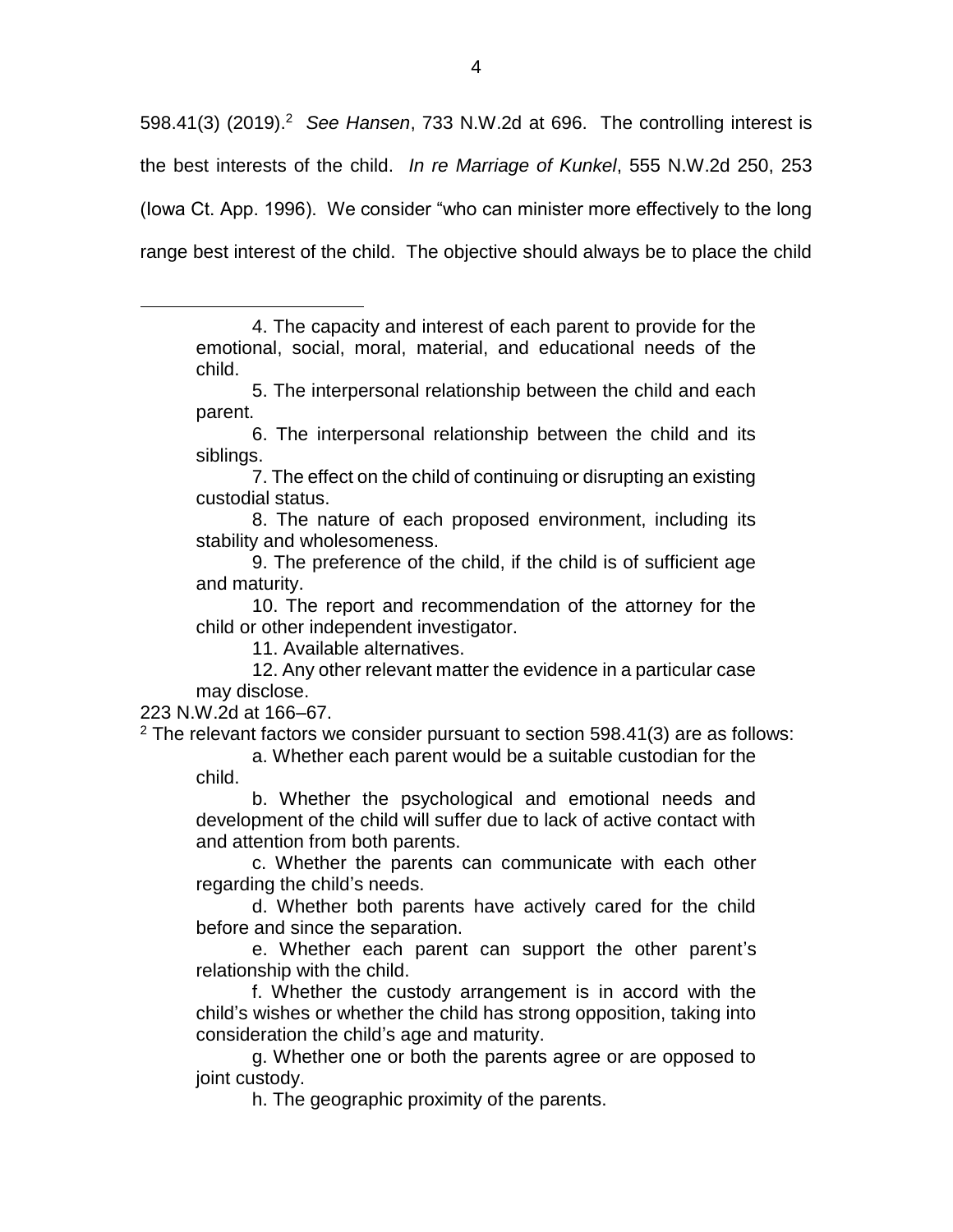598.41(3) (2019).<sup>2</sup> See Hansen, 733 N.W.2d at 696. The controlling interest is the best interests of the child. *In re Marriage of Kunkel*, 555 N.W.2d 250, 253 (Iowa Ct. App. 1996). We consider "who can minister more effectively to the long range best interest of the child. The objective should always be to place the child

- 5. The interpersonal relationship between the child and each parent.
- 6. The interpersonal relationship between the child and its siblings.
- 7. The effect on the child of continuing or disrupting an existing custodial status.
- 8. The nature of each proposed environment, including its stability and wholesomeness.
- 9. The preference of the child, if the child is of sufficient age and maturity.
- 10. The report and recommendation of the attorney for the child or other independent investigator.
	- 11. Available alternatives.
- 12. Any other relevant matter the evidence in a particular case may disclose.

223 N.W.2d at 166–67.

 $\overline{a}$ 

 $2$  The relevant factors we consider pursuant to section 598.41(3) are as follows:

a. Whether each parent would be a suitable custodian for the child.

b. Whether the psychological and emotional needs and development of the child will suffer due to lack of active contact with and attention from both parents.

c. Whether the parents can communicate with each other regarding the child's needs.

d. Whether both parents have actively cared for the child before and since the separation.

e. Whether each parent can support the other parent's relationship with the child.

f. Whether the custody arrangement is in accord with the child's wishes or whether the child has strong opposition, taking into consideration the child's age and maturity.

g. Whether one or both the parents agree or are opposed to joint custody.

h. The geographic proximity of the parents.

<sup>4.</sup> The capacity and interest of each parent to provide for the emotional, social, moral, material, and educational needs of the child.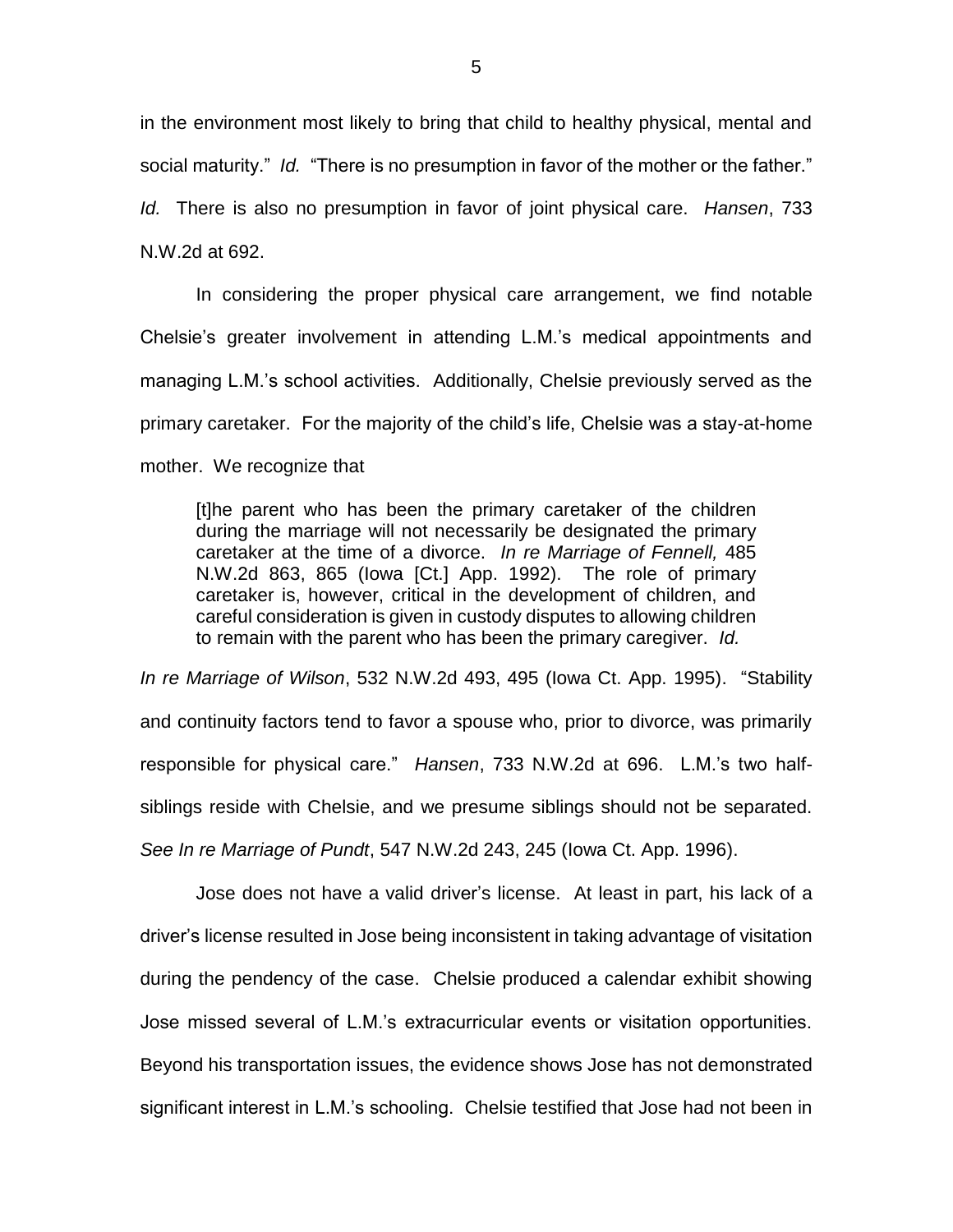in the environment most likely to bring that child to healthy physical, mental and social maturity." *Id.* "There is no presumption in favor of the mother or the father." *Id.* There is also no presumption in favor of joint physical care. *Hansen*, 733 N.W.2d at 692.

In considering the proper physical care arrangement, we find notable Chelsie's greater involvement in attending L.M.'s medical appointments and managing L.M.'s school activities. Additionally, Chelsie previously served as the primary caretaker. For the majority of the child's life, Chelsie was a stay-at-home mother. We recognize that

[t]he parent who has been the primary caretaker of the children during the marriage will not necessarily be designated the primary caretaker at the time of a divorce. *In re Marriage of Fennell,* 485 N.W.2d 863, 865 (Iowa [Ct.] App. 1992). The role of primary caretaker is, however, critical in the development of children, and careful consideration is given in custody disputes to allowing children to remain with the parent who has been the primary caregiver. *Id.*

*In re Marriage of Wilson*, 532 N.W.2d 493, 495 (Iowa Ct. App. 1995). "Stability and continuity factors tend to favor a spouse who, prior to divorce, was primarily responsible for physical care." *Hansen*, 733 N.W.2d at 696. L.M.'s two halfsiblings reside with Chelsie, and we presume siblings should not be separated. *See In re Marriage of Pundt*, 547 N.W.2d 243, 245 (Iowa Ct. App. 1996).

Jose does not have a valid driver's license. At least in part, his lack of a driver's license resulted in Jose being inconsistent in taking advantage of visitation during the pendency of the case. Chelsie produced a calendar exhibit showing Jose missed several of L.M.'s extracurricular events or visitation opportunities. Beyond his transportation issues, the evidence shows Jose has not demonstrated significant interest in L.M.'s schooling. Chelsie testified that Jose had not been in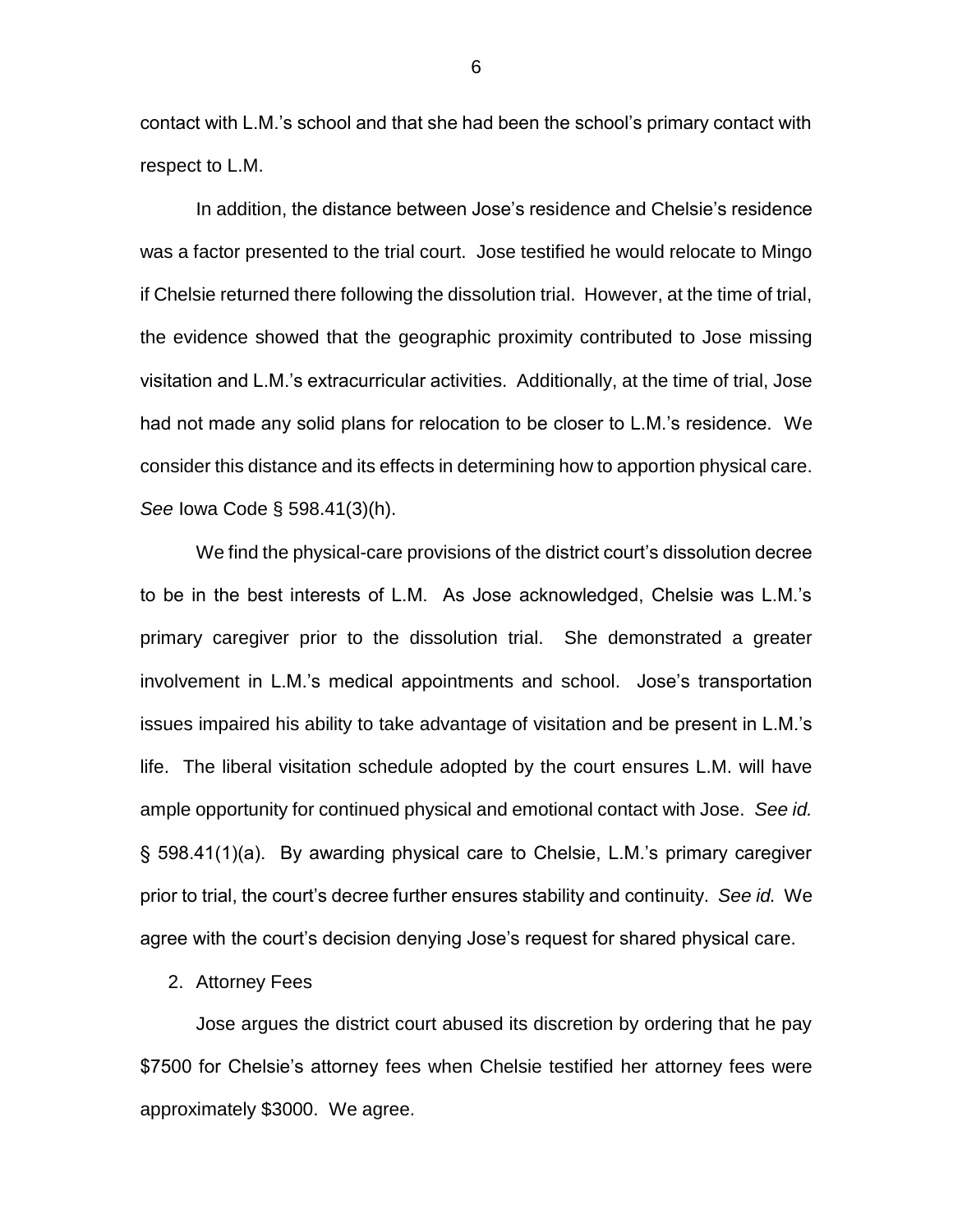contact with L.M.'s school and that she had been the school's primary contact with respect to L.M.

In addition, the distance between Jose's residence and Chelsie's residence was a factor presented to the trial court. Jose testified he would relocate to Mingo if Chelsie returned there following the dissolution trial. However, at the time of trial, the evidence showed that the geographic proximity contributed to Jose missing visitation and L.M.'s extracurricular activities. Additionally, at the time of trial, Jose had not made any solid plans for relocation to be closer to L.M.'s residence. We consider this distance and its effects in determining how to apportion physical care. *See* Iowa Code § 598.41(3)(h).

We find the physical-care provisions of the district court's dissolution decree to be in the best interests of L.M. As Jose acknowledged, Chelsie was L.M.'s primary caregiver prior to the dissolution trial. She demonstrated a greater involvement in L.M.'s medical appointments and school. Jose's transportation issues impaired his ability to take advantage of visitation and be present in L.M.'s life. The liberal visitation schedule adopted by the court ensures L.M. will have ample opportunity for continued physical and emotional contact with Jose. *See id.* § 598.41(1)(a). By awarding physical care to Chelsie, L.M.'s primary caregiver prior to trial, the court's decree further ensures stability and continuity. *See id.* We agree with the court's decision denying Jose's request for shared physical care.

2. Attorney Fees

Jose argues the district court abused its discretion by ordering that he pay \$7500 for Chelsie's attorney fees when Chelsie testified her attorney fees were approximately \$3000. We agree.

6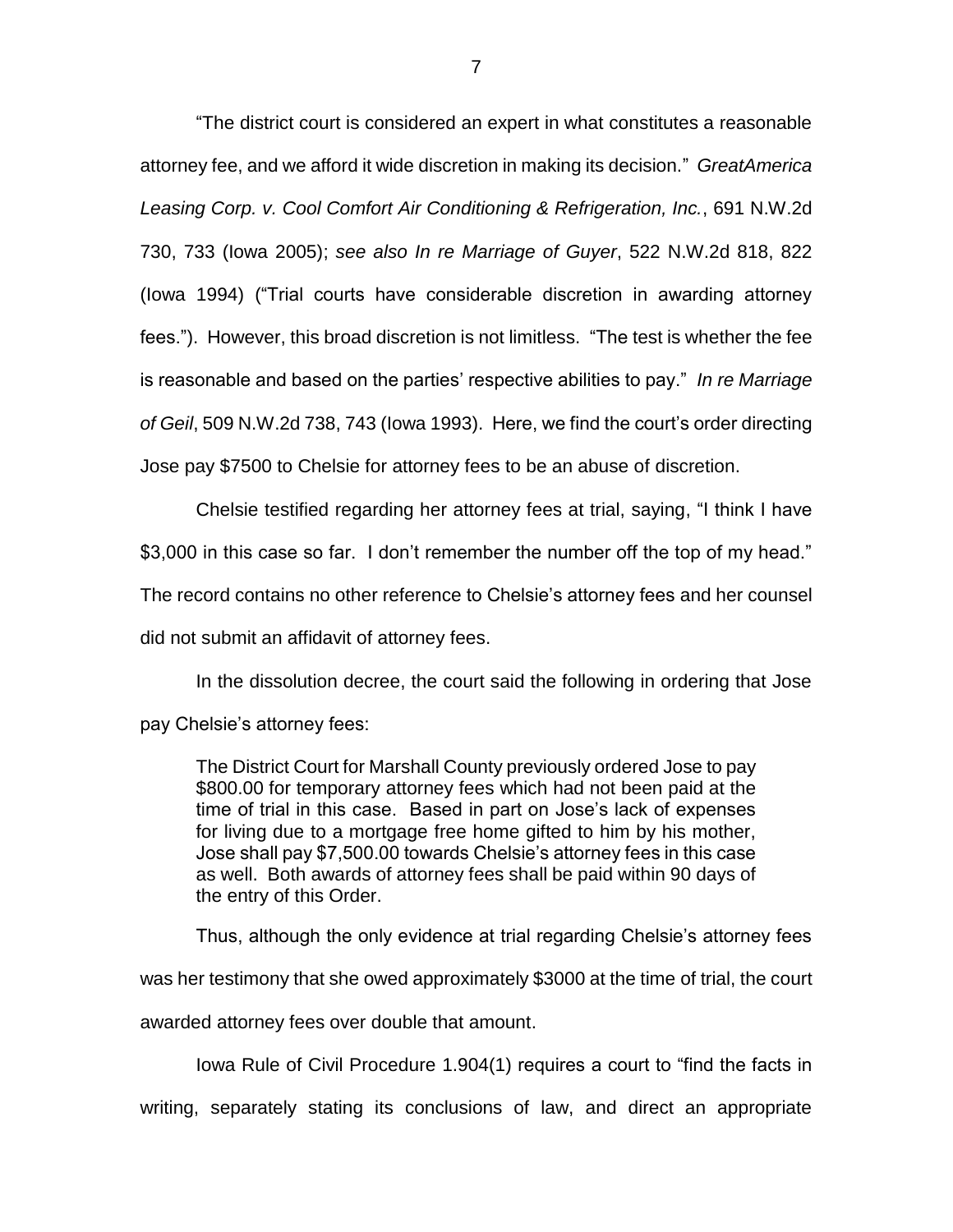"The district court is considered an expert in what constitutes a reasonable attorney fee, and we afford it wide discretion in making its decision." *GreatAmerica Leasing Corp. v. Cool Comfort Air Conditioning & Refrigeration, Inc.*, 691 N.W.2d 730, 733 (Iowa 2005); *see also In re Marriage of Guyer*, 522 N.W.2d 818, 822 (Iowa 1994) ("Trial courts have considerable discretion in awarding attorney fees."). However, this broad discretion is not limitless. "The test is whether the fee is reasonable and based on the parties' respective abilities to pay." *In re Marriage of Geil*, 509 N.W.2d 738, 743 (Iowa 1993). Here, we find the court's order directing Jose pay \$7500 to Chelsie for attorney fees to be an abuse of discretion.

Chelsie testified regarding her attorney fees at trial, saying, "I think I have \$3,000 in this case so far. I don't remember the number off the top of my head." The record contains no other reference to Chelsie's attorney fees and her counsel did not submit an affidavit of attorney fees.

In the dissolution decree, the court said the following in ordering that Jose pay Chelsie's attorney fees:

The District Court for Marshall County previously ordered Jose to pay \$800.00 for temporary attorney fees which had not been paid at the time of trial in this case. Based in part on Jose's lack of expenses for living due to a mortgage free home gifted to him by his mother, Jose shall pay \$7,500.00 towards Chelsie's attorney fees in this case as well. Both awards of attorney fees shall be paid within 90 days of the entry of this Order.

Thus, although the only evidence at trial regarding Chelsie's attorney fees

was her testimony that she owed approximately \$3000 at the time of trial, the court

awarded attorney fees over double that amount.

Iowa Rule of Civil Procedure 1.904(1) requires a court to "find the facts in

writing, separately stating its conclusions of law, and direct an appropriate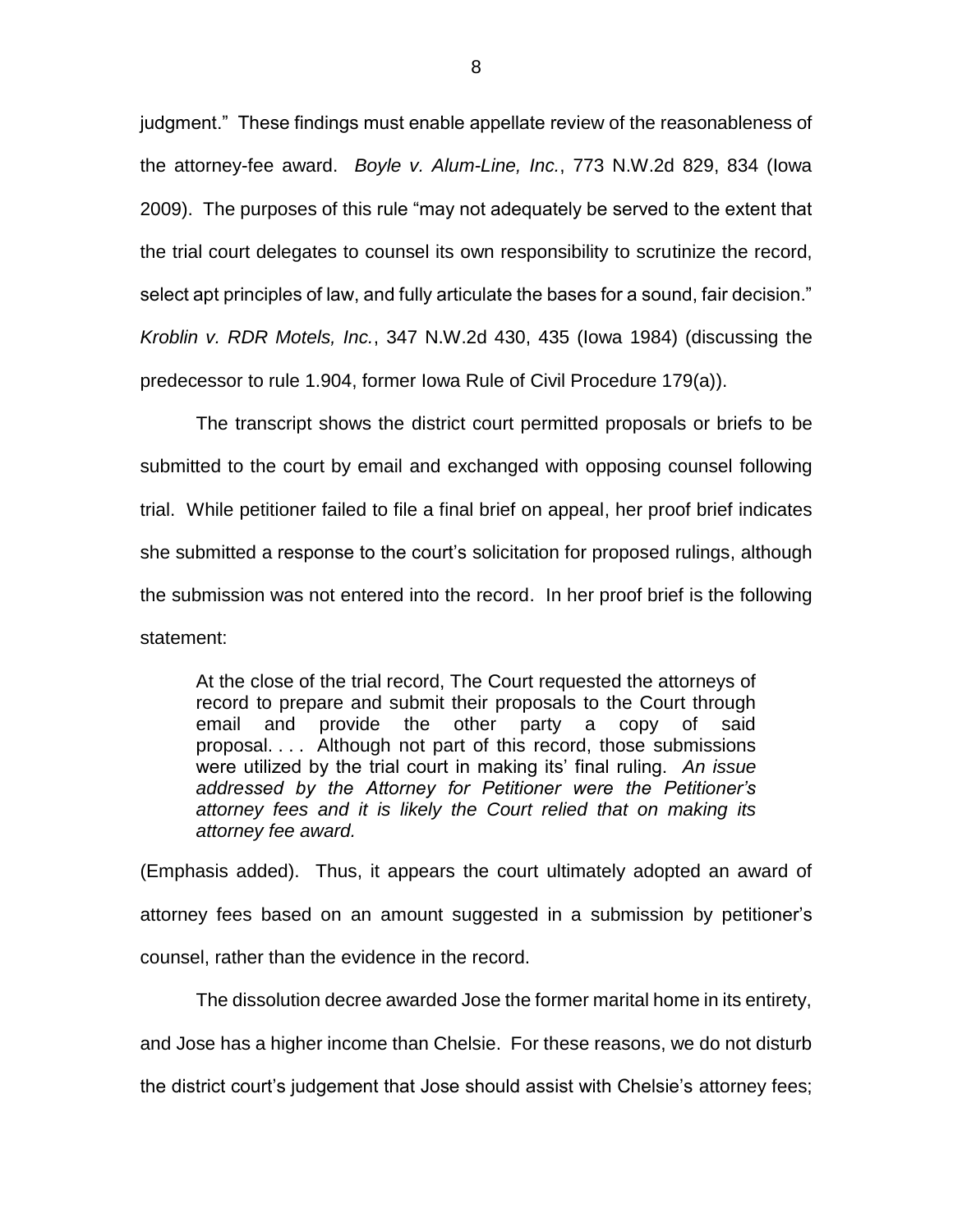judgment." These findings must enable appellate review of the reasonableness of the attorney-fee award. *Boyle v. Alum-Line, Inc.*, 773 N.W.2d 829, 834 (Iowa 2009).The purposes of this rule "may not adequately be served to the extent that the trial court delegates to counsel its own responsibility to scrutinize the record, select apt principles of law, and fully articulate the bases for a sound, fair decision." *Kroblin v. RDR Motels, Inc.*, 347 N.W.2d 430, 435 (Iowa 1984) (discussing the predecessor to rule 1.904, former Iowa Rule of Civil Procedure 179(a)).

The transcript shows the district court permitted proposals or briefs to be submitted to the court by email and exchanged with opposing counsel following trial. While petitioner failed to file a final brief on appeal, her proof brief indicates she submitted a response to the court's solicitation for proposed rulings, although the submission was not entered into the record. In her proof brief is the following statement:

At the close of the trial record, The Court requested the attorneys of record to prepare and submit their proposals to the Court through email and provide the other party a copy of said proposal. . . . Although not part of this record, those submissions were utilized by the trial court in making its' final ruling. *An issue addressed by the Attorney for Petitioner were the Petitioner's attorney fees and it is likely the Court relied that on making its attorney fee award.*

(Emphasis added). Thus, it appears the court ultimately adopted an award of attorney fees based on an amount suggested in a submission by petitioner's counsel, rather than the evidence in the record.

The dissolution decree awarded Jose the former marital home in its entirety, and Jose has a higher income than Chelsie. For these reasons, we do not disturb the district court's judgement that Jose should assist with Chelsie's attorney fees;